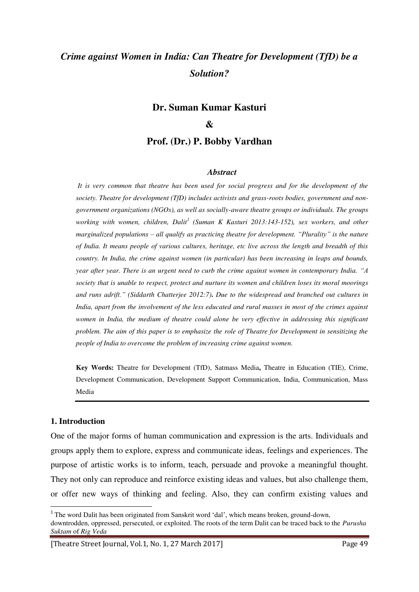# *Crime against Women in India: Can Theatre for Development (TfD) be a Solution?*

# **Dr. Suman Kumar Kasturi**

#### **&**

**Prof. (Dr.) P. Bobby Vardhan** 

#### *Abstract*

*It is very common that theatre has been used for social progress and for the development of the society. Theatre for development (TfD) includes activists and grass-roots bodies, government and nongovernment organizations (NGOs), as well as socially-aware theatre groups or individuals. The groups working with women, children, Dalit<sup>1</sup> (Suman K Kasturi 2013:143-152), sex workers, and other marginalized populations* – *all qualify as practicing theatre for development. "Plurality" is the nature of India. It means people of various cultures, heritage, etc live across the length and breadth of this country. In India, the crime against women (in particular) has been increasing in leaps and bounds, year after year. There is an urgent need to curb the crime against women in contemporary India. "A society that is unable to respect, protect and nurture its women and children loses its moral moorings and runs adrift." (Siddarth Chatterjee 2012:7)***.** *Due to the widespread and branched out cultures in India, apart from the involvement of the less educated and rural masses in most of the crimes against women in India, the medium of theatre could alone be very effective in addressing this significant problem. The aim of this paper is to emphasize the role of Theatre for Development in sensitizing the people of India to overcome the problem of increasing crime against women.* 

**Key Words:** Theatre for Development (TfD), Satmass Media**,** Theatre in Education (TIE), Crime, Development Communication, Development Support Communication, India, Communication, Mass Media

#### **1. Introduction**

 $\overline{a}$ 

One of the major forms of human communication and expression is the arts. Individuals and groups apply them to explore, express and communicate ideas, feelings and experiences. The purpose of artistic works is to inform, teach, persuade and provoke a meaningful thought. They not only can reproduce and reinforce existing ideas and values, but also challenge them, or offer new ways of thinking and feeling. Also, they can confirm existing values and

<sup>&</sup>lt;sup>1</sup> The word Dalit has been originated from Sanskrit word 'dal', which means broken, ground-down, downtrodden, oppressed, persecuted, or exploited. The roots of the term Dalit can be traced back to the *Purusha Suktam* of *Rig Veda* 

<sup>[</sup>Theatre Street Journal, Vol.1, No. 1, 27 March 2017] Page 49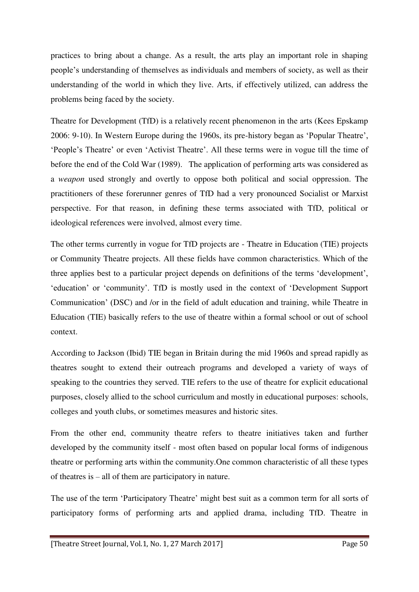practices to bring about a change. As a result, the arts play an important role in shaping people's understanding of themselves as individuals and members of society, as well as their understanding of the world in which they live. Arts, if effectively utilized, can address the problems being faced by the society.

Theatre for Development (TfD) is a relatively recent phenomenon in the arts (Kees Epskamp 2006: 9-10). In Western Europe during the 1960s, its pre-history began as 'Popular Theatre', 'People's Theatre' or even 'Activist Theatre'. All these terms were in vogue till the time of before the end of the Cold War (1989). The application of performing arts was considered as a *weapon* used strongly and overtly to oppose both political and social oppression. The practitioners of these forerunner genres of TfD had a very pronounced Socialist or Marxist perspective. For that reason, in defining these terms associated with TfD, political or ideological references were involved, almost every time.

The other terms currently in vogue for TfD projects are - Theatre in Education (TIE) projects or Community Theatre projects. All these fields have common characteristics. Which of the three applies best to a particular project depends on definitions of the terms 'development', 'education' or 'community'. TfD is mostly used in the context of 'Development Support Communication' (DSC) and /or in the field of adult education and training, while Theatre in Education (TIE) basically refers to the use of theatre within a formal school or out of school context.

According to Jackson (Ibid) TIE began in Britain during the mid 1960s and spread rapidly as theatres sought to extend their outreach programs and developed a variety of ways of speaking to the countries they served. TIE refers to the use of theatre for explicit educational purposes, closely allied to the school curriculum and mostly in educational purposes: schools, colleges and youth clubs, or sometimes measures and historic sites.

From the other end, community theatre refers to theatre initiatives taken and further developed by the community itself - most often based on popular local forms of indigenous theatre or performing arts within the community.One common characteristic of all these types of theatres is – all of them are participatory in nature.

The use of the term 'Participatory Theatre' might best suit as a common term for all sorts of participatory forms of performing arts and applied drama, including TfD. Theatre in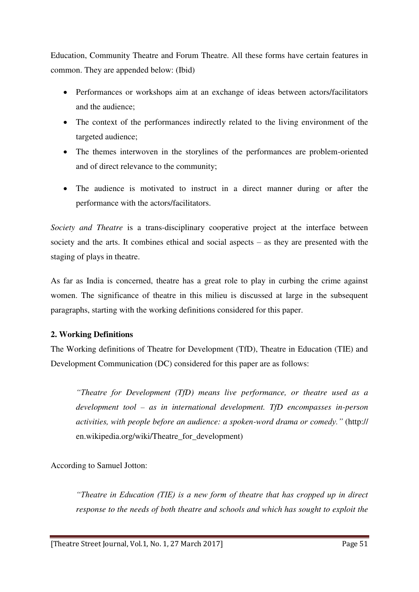Education, Community Theatre and Forum Theatre. All these forms have certain features in common. They are appended below: (Ibid)

- Performances or workshops aim at an exchange of ideas between actors/facilitators and the audience;
- The context of the performances indirectly related to the living environment of the targeted audience;
- The themes interwoven in the storylines of the performances are problem-oriented and of direct relevance to the community;
- The audience is motivated to instruct in a direct manner during or after the performance with the actors/facilitators.

*Society and Theatre* is a trans-disciplinary cooperative project at the interface between society and the arts. It combines ethical and social aspects – as they are presented with the staging of plays in theatre.

As far as India is concerned, theatre has a great role to play in curbing the crime against women. The significance of theatre in this milieu is discussed at large in the subsequent paragraphs, starting with the working definitions considered for this paper.

## **2. Working Definitions**

The Working definitions of Theatre for Development (TfD), Theatre in Education (TIE) and Development Communication (DC) considered for this paper are as follows:

*"Theatre for Development (TfD) means live performance, or theatre used as a development tool* – *as in international development. TfD encompasses in-person activities, with people before an audience: a spoken-word drama or comedy.*" (http:// en.wikipedia.org/wiki/Theatre\_for\_development)

According to Samuel Jotton:

*"Theatre in Education (TIE) is a new form of theatre that has cropped up in direct response to the needs of both theatre and schools and which has sought to exploit the*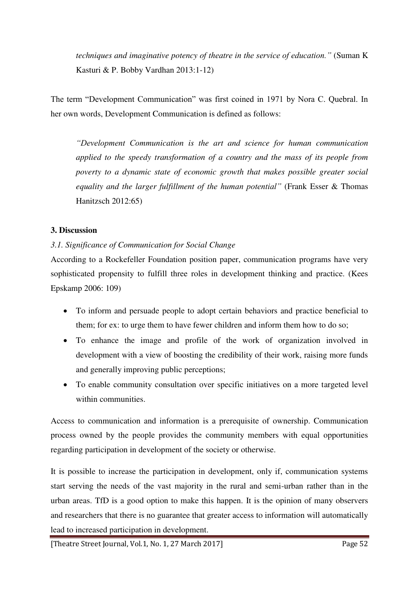*techniques and imaginative potency of theatre in the service of education."* (Suman K Kasturi & P. Bobby Vardhan 2013:1-12)

The term "Development Communication" was first coined in 1971 by Nora C. Quebral. In her own words, Development Communication is defined as follows:

*"Development Communication is the art and science for human communication applied to the speedy transformation of a country and the mass of its people from poverty to a dynamic state of economic growth that makes possible greater social equality and the larger fulfillment of the human potential"* (Frank Esser & Thomas Hanitzsch 2012:65)

## **3. Discussion**

## *3.1. Significance of Communication for Social Change*

According to a Rockefeller Foundation position paper, communication programs have very sophisticated propensity to fulfill three roles in development thinking and practice. (Kees Epskamp 2006: 109)

- To inform and persuade people to adopt certain behaviors and practice beneficial to them; for ex: to urge them to have fewer children and inform them how to do so;
- To enhance the image and profile of the work of organization involved in development with a view of boosting the credibility of their work, raising more funds and generally improving public perceptions;
- To enable community consultation over specific initiatives on a more targeted level within communities.

Access to communication and information is a prerequisite of ownership. Communication process owned by the people provides the community members with equal opportunities regarding participation in development of the society or otherwise.

It is possible to increase the participation in development, only if, communication systems start serving the needs of the vast majority in the rural and semi-urban rather than in the urban areas. TfD is a good option to make this happen. It is the opinion of many observers and researchers that there is no guarantee that greater access to information will automatically lead to increased participation in development.

[Theatre Street Journal, Vol.1, No. 1, 27 March 2017] Page 52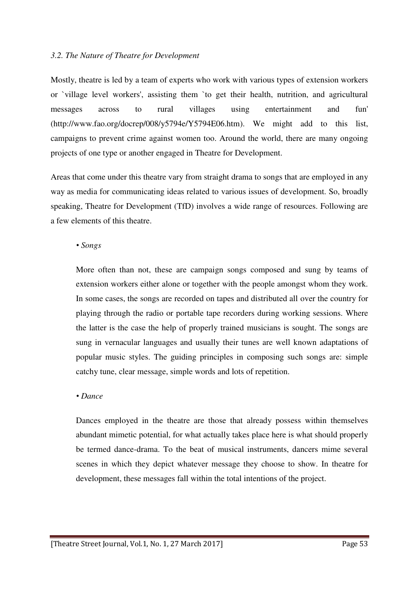#### *3.2. The Nature of Theatre for Development*

Mostly, theatre is led by a team of experts who work with various types of extension workers or `village level workers', assisting them `to get their health, nutrition, and agricultural messages across to rural villages using entertainment and fun' (http://www.fao.org/docrep/008/y5794e/Y5794E06.htm). We might add to this list, campaigns to prevent crime against women too. Around the world, there are many ongoing projects of one type or another engaged in Theatre for Development.

Areas that come under this theatre vary from straight drama to songs that are employed in any way as media for communicating ideas related to various issues of development. So, broadly speaking, Theatre for Development (TfD) involves a wide range of resources. Following are a few elements of this theatre.

#### *• Songs*

More often than not, these are campaign songs composed and sung by teams of extension workers either alone or together with the people amongst whom they work. In some cases, the songs are recorded on tapes and distributed all over the country for playing through the radio or portable tape recorders during working sessions. Where the latter is the case the help of properly trained musicians is sought. The songs are sung in vernacular languages and usually their tunes are well known adaptations of popular music styles. The guiding principles in composing such songs are: simple catchy tune, clear message, simple words and lots of repetition.

## *• Dance*

Dances employed in the theatre are those that already possess within themselves abundant mimetic potential, for what actually takes place here is what should properly be termed dance-drama. To the beat of musical instruments, dancers mime several scenes in which they depict whatever message they choose to show. In theatre for development, these messages fall within the total intentions of the project.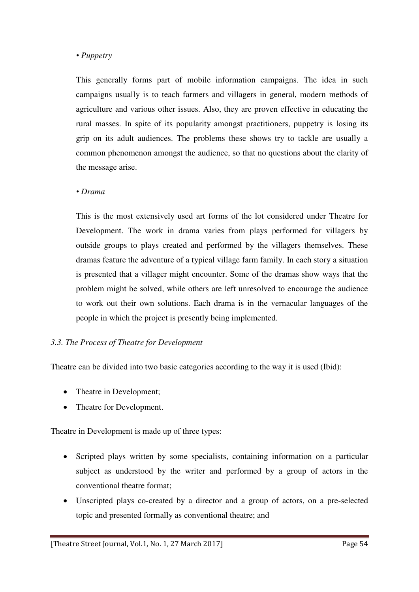#### *• Puppetry*

This generally forms part of mobile information campaigns. The idea in such campaigns usually is to teach farmers and villagers in general, modern methods of agriculture and various other issues. Also, they are proven effective in educating the rural masses. In spite of its popularity amongst practitioners, puppetry is losing its grip on its adult audiences. The problems these shows try to tackle are usually a common phenomenon amongst the audience, so that no questions about the clarity of the message arise.

#### *• Drama*

This is the most extensively used art forms of the lot considered under Theatre for Development. The work in drama varies from plays performed for villagers by outside groups to plays created and performed by the villagers themselves. These dramas feature the adventure of a typical village farm family. In each story a situation is presented that a villager might encounter. Some of the dramas show ways that the problem might be solved, while others are left unresolved to encourage the audience to work out their own solutions. Each drama is in the vernacular languages of the people in which the project is presently being implemented.

## *3.3. The Process of Theatre for Development*

Theatre can be divided into two basic categories according to the way it is used (Ibid):

- Theatre in Development;
- Theatre for Development.

Theatre in Development is made up of three types:

- Scripted plays written by some specialists, containing information on a particular subject as understood by the writer and performed by a group of actors in the conventional theatre format;
- Unscripted plays co-created by a director and a group of actors, on a pre-selected topic and presented formally as conventional theatre; and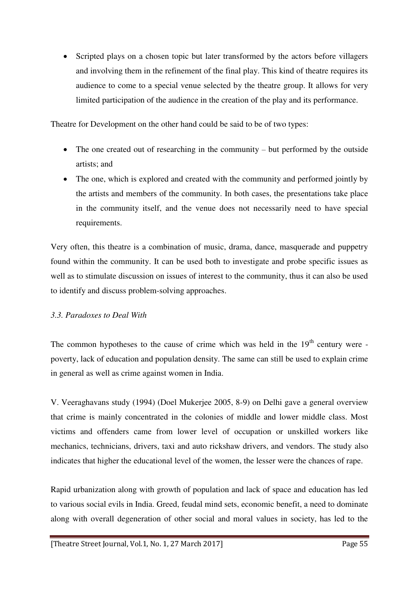• Scripted plays on a chosen topic but later transformed by the actors before villagers and involving them in the refinement of the final play. This kind of theatre requires its audience to come to a special venue selected by the theatre group. It allows for very limited participation of the audience in the creation of the play and its performance.

Theatre for Development on the other hand could be said to be of two types:

- The one created out of researching in the community but performed by the outside artists; and
- The one, which is explored and created with the community and performed jointly by the artists and members of the community. In both cases, the presentations take place in the community itself, and the venue does not necessarily need to have special requirements.

Very often, this theatre is a combination of music, drama, dance, masquerade and puppetry found within the community. It can be used both to investigate and probe specific issues as well as to stimulate discussion on issues of interest to the community, thus it can also be used to identify and discuss problem-solving approaches.

## *3.3. Paradoxes to Deal With*

The common hypotheses to the cause of crime which was held in the  $19<sup>th</sup>$  century were poverty, lack of education and population density. The same can still be used to explain crime in general as well as crime against women in India.

V. Veeraghavans study (1994) (Doel Mukerjee 2005, 8-9) on Delhi gave a general overview that crime is mainly concentrated in the colonies of middle and lower middle class. Most victims and offenders came from lower level of occupation or unskilled workers like mechanics, technicians, drivers, taxi and auto rickshaw drivers, and vendors. The study also indicates that higher the educational level of the women, the lesser were the chances of rape.

Rapid urbanization along with growth of population and lack of space and education has led to various social evils in India. Greed, feudal mind sets, economic benefit, a need to dominate along with overall degeneration of other social and moral values in society, has led to the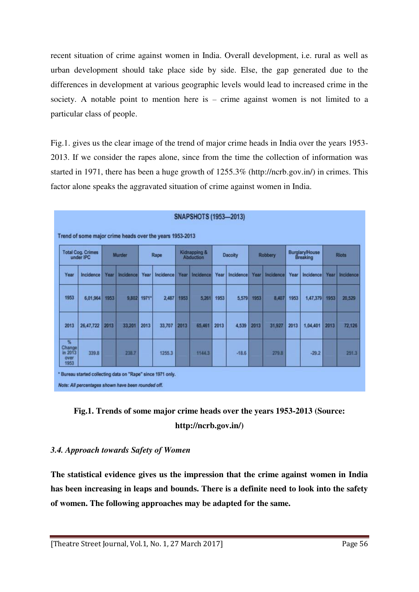recent situation of crime against women in India. Overall development, i.e. rural as well as urban development should take place side by side. Else, the gap generated due to the differences in development at various geographic levels would lead to increased crime in the society. A notable point to mention here is – crime against women is not limited to a particular class of people.

Fig.1. gives us the clear image of the trend of major crime heads in India over the years 1953- 2013. If we consider the rapes alone, since from the time the collection of information was started in 1971, there has been a huge growth of 1255.3% (http://ncrb.gov.in/) in crimes. This factor alone speaks the aggravated situation of crime against women in India.

| <b>Total Cog. Crimes</b><br>under IPC              |           | <b>Murder</b> |           | Rape                |           | Kidnapping &<br><b>Abduction</b> |           | <b>Dacoity</b> |                | <b>Robbery</b> |                | <b>Burglary/House</b><br><b>Breaking</b> |                  | <b>Riots</b> |           |
|----------------------------------------------------|-----------|---------------|-----------|---------------------|-----------|----------------------------------|-----------|----------------|----------------|----------------|----------------|------------------------------------------|------------------|--------------|-----------|
| Year                                               | Incidence | Year          | Incidence | Year                | Incidence | Year                             | Incidence |                | Year Incidence |                | Year Incidence |                                          | Year   Incidence | Year         | Incidence |
| 1953                                               | 6,01,964  | 1953          | 9.802     | $1971$ <sup>*</sup> | 2,487     | 1953                             |           | 5,261 1953     | 5,579          | 1953           | 8,407          | 1953                                     | 1,47,379 1953    |              | 20,529    |
| 2013                                               | 26,47,722 | 2013          | 33,201    | 2013                | 33,707    | 2013                             | 65,461    | 2013           | 4.539          | 2013           | 31,927         | 2013                                     | 1,04,401         | 2013         | 72,126    |
| $\frac{1}{2}$<br>Change<br>in 2013<br>over<br>1953 | 339.8     |               | 238.7     |                     | 1255.3    |                                  | 1144.3    |                | $-18.6$        |                | 279.8          |                                          | $-29.2$          |              | 251.3     |



## *3.4. Approach towards Safety of Women*

**The statistical evidence gives us the impression that the crime against women in India has been increasing in leaps and bounds. There is a definite need to look into the safety of women. The following approaches may be adapted for the same.**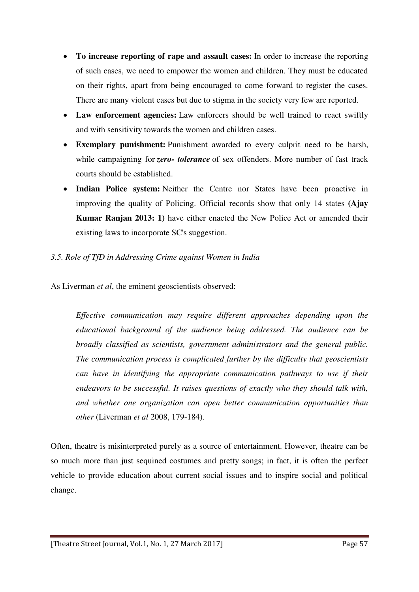- **To increase reporting of rape and assault cases:** In order to increase the reporting of such cases, we need to empower the women and children. They must be educated on their rights, apart from being encouraged to come forward to register the cases. There are many violent cases but due to stigma in the society very few are reported.
- **Law enforcement agencies:** Law enforcers should be well trained to react swiftly and with sensitivity towards the women and children cases.
- **Exemplary punishment:** Punishment awarded to every culprit need to be harsh, while campaigning for *zero-* tolerance of sex offenders. More number of fast track courts should be established.
- **Indian Police system:** Neither the Centre nor States have been proactive in improving the quality of Policing. Official records show that only 14 states **(Ajay Kumar Ranjan 2013: 1)** have either enacted the New Police Act or amended their existing laws to incorporate SC's suggestion.
- *3.5. Role of TfD in Addressing Crime against Women in India*

As Liverman *et al*, the eminent geoscientists observed:

*Effective communication may require different approaches depending upon the educational background of the audience being addressed. The audience can be broadly classified as scientists, government administrators and the general public. The communication process is complicated further by the difficulty that geoscientists can have in identifying the appropriate communication pathways to use if their endeavors to be successful. It raises questions of exactly who they should talk with, and whether one organization can open better communication opportunities than other* (Liverman *et al* 2008, 179-184).

Often, theatre is misinterpreted purely as a source of entertainment. However, theatre can be so much more than just sequined costumes and pretty songs; in fact, it is often the perfect vehicle to provide education about current social issues and to inspire social and political change.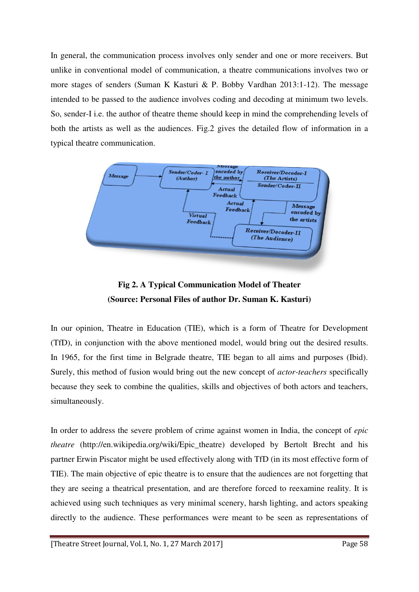In general, the communication process involves only sender and one or more receivers. But unlike in conventional model of communication, a theatre communications involves two or more stages of senders (Suman K Kasturi & P. Bobby Vardhan 2013:1-12). The message intended to be passed to the audience involves coding and decoding at minimum two levels. So, sender-I i.e. the author of theatre theme should keep in mind the comprehending levels of both the artists as well as the audiences. Fig.2 gives the detailed flow of information in a typical theatre communication.





In our opinion, Theatre in Education (TIE), which is a form of Theatre for Development (TfD), in conjunction with the above mentioned model, would bring out the desired results. In 1965, for the first time in Belgrade theatre, TIE began to all aims and purposes (Ibid). Surely, this method of fusion would bring out the new concept of *actor-teachers* specifically because they seek to combine the qualities, skills and objectives of both actors and teachers, simultaneously.

In order to address the severe problem of crime against women in India, the concept of *epic theatre* (http://en.wikipedia.org/wiki/Epic\_theatre) developed by Bertolt Brecht and his partner Erwin Piscator might be used effectively along with TfD (in its most effective form of TIE). The main objective of epic theatre is to ensure that the audiences are not forgetting that they are seeing a theatrical presentation, and are therefore forced to reexamine reality. It is achieved using such techniques as very minimal scenery, harsh lighting, and actors speaking directly to the audience. These performances were meant to be seen as representations of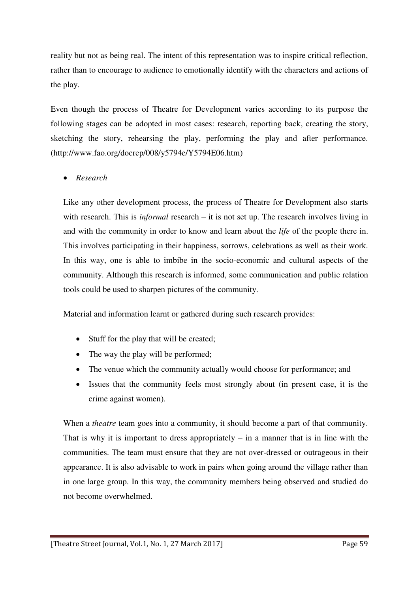reality but not as being real. The intent of this representation was to inspire critical reflection, rather than to encourage to audience to emotionally identify with the characters and actions of the play.

Even though the process of Theatre for Development varies according to its purpose the following stages can be adopted in most cases: research, reporting back, creating the story, sketching the story, rehearsing the play, performing the play and after performance. (http://www.fao.org/docrep/008/y5794e/Y5794E06.htm)

*Research* 

Like any other development process, the process of Theatre for Development also starts with research. This is *informal* research – it is not set up. The research involves living in and with the community in order to know and learn about the *life* of the people there in. This involves participating in their happiness, sorrows, celebrations as well as their work. In this way, one is able to imbibe in the socio-economic and cultural aspects of the community. Although this research is informed, some communication and public relation tools could be used to sharpen pictures of the community.

Material and information learnt or gathered during such research provides:

- Stuff for the play that will be created;
- The way the play will be performed;
- The venue which the community actually would choose for performance; and
- Issues that the community feels most strongly about (in present case, it is the crime against women).

When a *theatre* team goes into a community, it should become a part of that community. That is why it is important to dress appropriately  $-$  in a manner that is in line with the communities. The team must ensure that they are not over-dressed or outrageous in their appearance. It is also advisable to work in pairs when going around the village rather than in one large group. In this way, the community members being observed and studied do not become overwhelmed.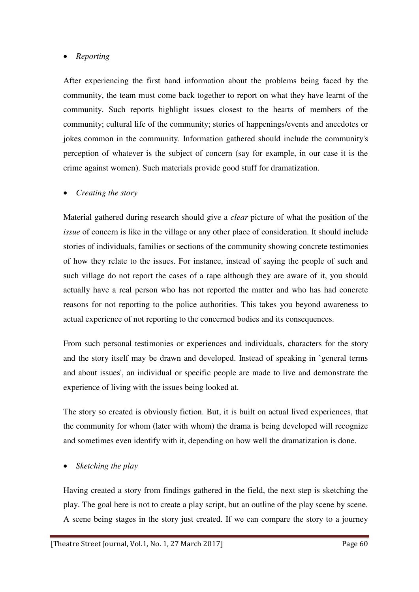## *Reporting*

After experiencing the first hand information about the problems being faced by the community, the team must come back together to report on what they have learnt of the community. Such reports highlight issues closest to the hearts of members of the community; cultural life of the community; stories of happenings/events and anecdotes or jokes common in the community. Information gathered should include the community's perception of whatever is the subject of concern (say for example, in our case it is the crime against women). Such materials provide good stuff for dramatization.

## *Creating the story*

Material gathered during research should give a *clear* picture of what the position of the *issue* of concern is like in the village or any other place of consideration. It should include stories of individuals, families or sections of the community showing concrete testimonies of how they relate to the issues. For instance, instead of saying the people of such and such village do not report the cases of a rape although they are aware of it, you should actually have a real person who has not reported the matter and who has had concrete reasons for not reporting to the police authorities. This takes you beyond awareness to actual experience of not reporting to the concerned bodies and its consequences.

From such personal testimonies or experiences and individuals, characters for the story and the story itself may be drawn and developed. Instead of speaking in `general terms and about issues', an individual or specific people are made to live and demonstrate the experience of living with the issues being looked at.

The story so created is obviously fiction. But, it is built on actual lived experiences, that the community for whom (later with whom) the drama is being developed will recognize and sometimes even identify with it, depending on how well the dramatization is done.

## *Sketching the play*

Having created a story from findings gathered in the field, the next step is sketching the play. The goal here is not to create a play script, but an outline of the play scene by scene. A scene being stages in the story just created. If we can compare the story to a journey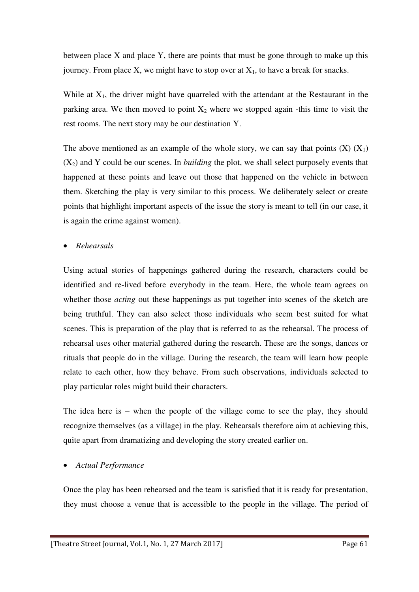between place X and place Y, there are points that must be gone through to make up this journey. From place X, we might have to stop over at  $X_1$ , to have a break for snacks.

While at  $X_1$ , the driver might have quarreled with the attendant at the Restaurant in the parking area. We then moved to point  $X_2$  where we stopped again -this time to visit the rest rooms. The next story may be our destination Y.

The above mentioned as an example of the whole story, we can say that points  $(X)$   $(X_1)$  $(X_2)$  and Y could be our scenes. In *building* the plot, we shall select purposely events that happened at these points and leave out those that happened on the vehicle in between them. Sketching the play is very similar to this process. We deliberately select or create points that highlight important aspects of the issue the story is meant to tell (in our case, it is again the crime against women).

*Rehearsals* 

Using actual stories of happenings gathered during the research, characters could be identified and re-lived before everybody in the team. Here, the whole team agrees on whether those *acting* out these happenings as put together into scenes of the sketch are being truthful. They can also select those individuals who seem best suited for what scenes. This is preparation of the play that is referred to as the rehearsal. The process of rehearsal uses other material gathered during the research. These are the songs, dances or rituals that people do in the village. During the research, the team will learn how people relate to each other, how they behave. From such observations, individuals selected to play particular roles might build their characters.

The idea here is – when the people of the village come to see the play, they should recognize themselves (as a village) in the play. Rehearsals therefore aim at achieving this, quite apart from dramatizing and developing the story created earlier on.

## *Actual Performance*

Once the play has been rehearsed and the team is satisfied that it is ready for presentation, they must choose a venue that is accessible to the people in the village. The period of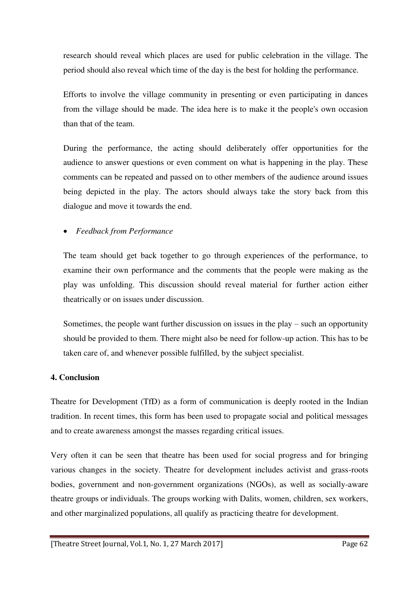research should reveal which places are used for public celebration in the village. The period should also reveal which time of the day is the best for holding the performance.

Efforts to involve the village community in presenting or even participating in dances from the village should be made. The idea here is to make it the people's own occasion than that of the team.

During the performance, the acting should deliberately offer opportunities for the audience to answer questions or even comment on what is happening in the play. These comments can be repeated and passed on to other members of the audience around issues being depicted in the play. The actors should always take the story back from this dialogue and move it towards the end.

## *Feedback from Performance*

The team should get back together to go through experiences of the performance, to examine their own performance and the comments that the people were making as the play was unfolding. This discussion should reveal material for further action either theatrically or on issues under discussion.

Sometimes, the people want further discussion on issues in the play – such an opportunity should be provided to them. There might also be need for follow-up action. This has to be taken care of, and whenever possible fulfilled, by the subject specialist.

## **4. Conclusion**

Theatre for Development (TfD) as a form of communication is deeply rooted in the Indian tradition. In recent times, this form has been used to propagate social and political messages and to create awareness amongst the masses regarding critical issues.

Very often it can be seen that theatre has been used for social progress and for bringing various changes in the society. Theatre for development includes activist and grass-roots bodies, government and non-government organizations (NGOs), as well as socially-aware theatre groups or individuals. The groups working with Dalits, women, children, sex workers, and other marginalized populations, all qualify as practicing theatre for development.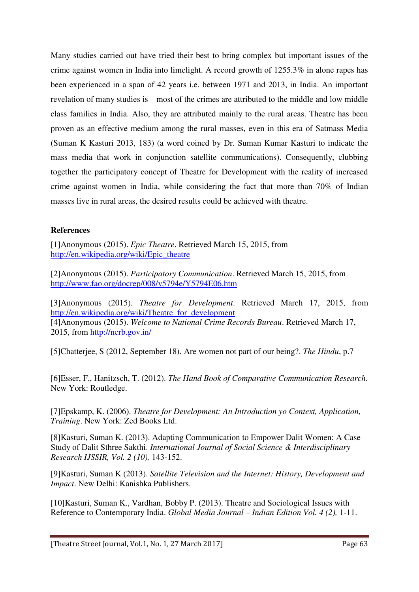Many studies carried out have tried their best to bring complex but important issues of the crime against women in India into limelight. A record growth of 1255.3% in alone rapes has been experienced in a span of 42 years i.e. between 1971 and 2013, in India. An important revelation of many studies is – most of the crimes are attributed to the middle and low middle class families in India. Also, they are attributed mainly to the rural areas. Theatre has been proven as an effective medium among the rural masses, even in this era of Satmass Media (Suman K Kasturi 2013, 183) (a word coined by Dr. Suman Kumar Kasturi to indicate the mass media that work in conjunction satellite communications). Consequently, clubbing together the participatory concept of Theatre for Development with the reality of increased crime against women in India, while considering the fact that more than 70% of Indian masses live in rural areas, the desired results could be achieved with theatre.

## **References**

[1]Anonymous (2015). *Epic Theatre*. Retrieved March 15, 2015, from [http://en.wikipedia.org/wiki/Epic\\_theatre](http://en.wikipedia.org/wiki/Epic_theatre) 

[2]Anonymous (2015). *Participatory Communication*. Retrieved March 15, 2015, from <http://www.fao.org/docrep/008/y5794e/Y5794E06.htm>

[3]Anonymous (2015). *Theatre for Development*. Retrieved March 17, 2015, from [http://en.wikipedia.org/wiki/Theatre\\_for\\_development](http://en.wikipedia.org/wiki/Theatre_for_development)  [4]Anonymous (2015). *Welcome to National Crime Records Bureau*. Retrieved March 17, 2015, from<http://ncrb.gov.in/>

[5]Chatterjee, S (2012, September 18). Are women not part of our being?. *The Hindu*, p.7

[6]Esser, F., Hanitzsch, T. (2012). *The Hand Book of Comparative Communication Research*. New York: Routledge.

[7]Epskamp, K. (2006). *Theatre for Development: An Introduction yo Context, Application, Training*. New York: Zed Books Ltd.

[8]Kasturi, Suman K. (2013). Adapting Communication to Empower Dalit Women: A Case Study of Dalit Sthree Sakthi. *International Journal of Social Science & Interdisciplinary Research IJSSIR, Vol. 2 (10),* 143-152.

[9]Kasturi, Suman K (2013). *Satellite Television and the Internet: History, Development and Impact*. New Delhi: Kanishka Publishers.

[10]Kasturi, Suman K., Vardhan, Bobby P. (2013). Theatre and Sociological Issues with Reference to Contemporary India. *Global Media Journal – Indian Edition Vol. 4 (2),* 1-11.